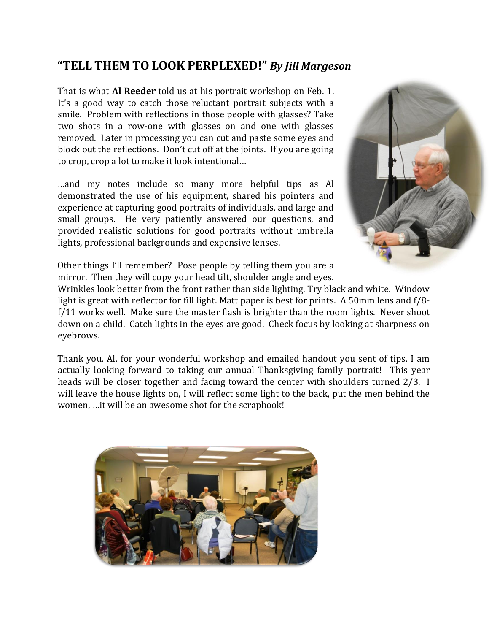## **"TELL THEM TO LOOK PERPLEXED!"** *By Jill Margeson*

That is what **Al Reeder** told us at his portrait workshop on Feb. 1. It's a good way to catch those reluctant portrait subjects with a smile. Problem with reflections in those people with glasses? Take two shots in a row-one with glasses on and one with glasses removed. Later in processing you can cut and paste some eyes and block out the reflections. Don't cut off at the joints. If you are going to crop, crop a lot to make it look intentional…

…and my notes include so many more helpful tips as Al demonstrated the use of his equipment, shared his pointers and experience at capturing good portraits of individuals, and large and small groups. He very patiently answered our questions, and provided realistic solutions for good portraits without umbrella lights, professional backgrounds and expensive lenses.



Other things I'll remember? Pose people by telling them you are a mirror. Then they will copy your head tilt, shoulder angle and eyes.

Wrinkles look better from the front rather than side lighting. Try black and white. Window light is great with reflector for fill light. Matt paper is best for prints. A 50mm lens and f/8 f/11 works well. Make sure the master flash is brighter than the room lights. Never shoot down on a child. Catch lights in the eyes are good. Check focus by looking at sharpness on eyebrows.

Thank you, Al, for your wonderful workshop and emailed handout you sent of tips. I am actually looking forward to taking our annual Thanksgiving family portrait! This year heads will be closer together and facing toward the center with shoulders turned 2/3. I will leave the house lights on, I will reflect some light to the back, put the men behind the women, …it will be an awesome shot for the scrapbook!